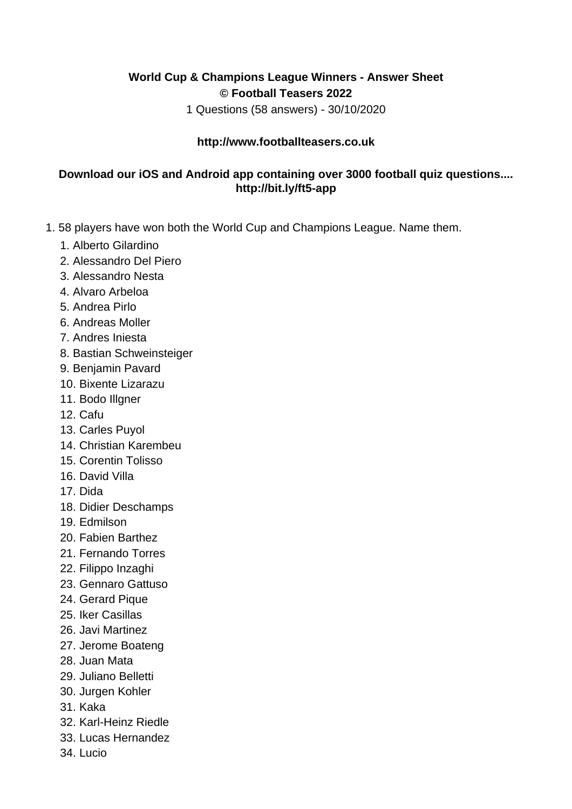## **World Cup & Champions League Winners - Answer Sheet © Football Teasers 2022**

1 Questions (58 answers) - 30/10/2020

## **http://www.footballteasers.co.uk**

## **Download our iOS and Android app containing over 3000 football quiz questions.... http://bit.ly/ft5-app**

- 1. 58 players have won both the World Cup and Champions League. Name them.
	- 1. Alberto Gilardino
	- 2. Alessandro Del Piero
	- 3. Alessandro Nesta
	- 4. Alvaro Arbeloa
	- 5. Andrea Pirlo
	- 6. Andreas Moller
	- 7. Andres Iniesta
	- 8. Bastian Schweinsteiger
	- 9. Benjamin Pavard
	- 10. Bixente Lizarazu
	- 11. Bodo Illgner
	- 12. Cafu
	- 13. Carles Puyol
	- 14. Christian Karembeu
	- 15. Corentin Tolisso
	- 16. David Villa
	- 17. Dida
	- 18. Didier Deschamps
	- 19. Edmilson
	- 20. Fabien Barthez
	- 21. Fernando Torres
	- 22. Filippo Inzaghi
	- 23. Gennaro Gattuso
	- 24. Gerard Pique
	- 25. Iker Casillas
	- 26. Javi Martinez
	- 27. Jerome Boateng
	- 28. Juan Mata
	- 29. Juliano Belletti
	- 30. Jurgen Kohler
	- 31. Kaka
	- 32. Karl-Heinz Riedle
	- 33. Lucas Hernandez
	- 34. Lucio